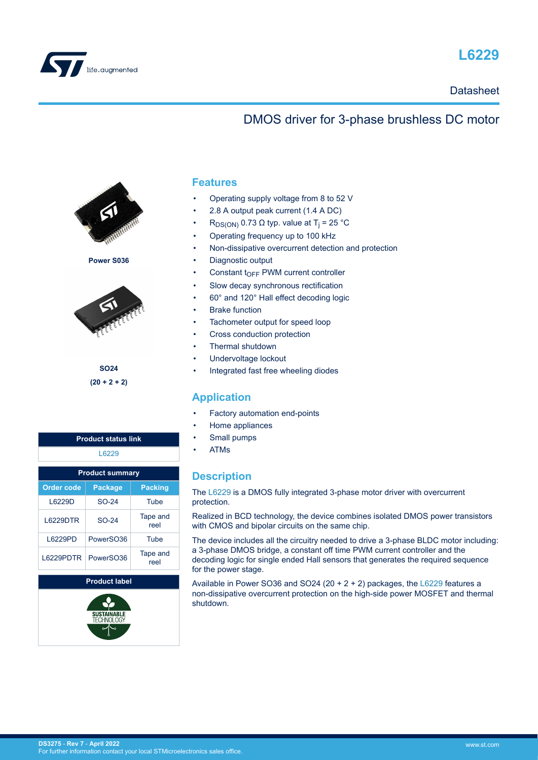

<span id="page-0-0"></span>

### **Datasheet**

## DMOS driver for 3-phase brushless DC motor



**Power S036**



**SO24 (20 + 2 + 2)**

| <b>Product status link</b> |                      |                  |  |  |  |  |
|----------------------------|----------------------|------------------|--|--|--|--|
| L6229                      |                      |                  |  |  |  |  |
| <b>Product summary</b>     |                      |                  |  |  |  |  |
| <b>Order code</b>          | <b>Package</b>       | <b>Packing</b>   |  |  |  |  |
| L6229D                     | SO-24                | Tube             |  |  |  |  |
| 16229DTR                   | SO-24                | Tape and<br>reel |  |  |  |  |
| L6229PD                    | PowerSO36            | Tube             |  |  |  |  |
| L6229PDTR                  | PowerSO36            | Tape and<br>reel |  |  |  |  |
|                            | <b>Product label</b> |                  |  |  |  |  |
|                            |                      |                  |  |  |  |  |



### **Features**

- Operating supply voltage from 8 to 52 V
- 2.8 A output peak current (1.4 A DC)
- R<sub>DS(ON)</sub> 0.73 Ω typ. value at T<sub>j</sub> = 25 °C
- Operating frequency up to 100 kHz
- Non-dissipative overcurrent detection and protection
- Diagnostic output
- Constant  $t_{\text{OFF}}$  PWM current controller
- Slow decay synchronous rectification
- 60° and 120° Hall effect decoding logic
- **Brake function**
- Tachometer output for speed loop
- Cross conduction protection
- Thermal shutdown
- Undervoltage lockout
- Integrated fast free wheeling diodes

### **Application**

- Factory automation end-points
- Home appliances
- Small pumps
- ATMs

### **Description**

The [L6229](https://www.st.com/en/product/L6229?ecmp=tt9470_gl_link_feb2019&rt=ds&id=DS3275) is a DMOS fully integrated 3-phase motor driver with overcurrent protection.

Realized in BCD technology, the device combines isolated DMOS power transistors with CMOS and bipolar circuits on the same chip.

The device includes all the circuitry needed to drive a 3-phase BLDC motor including: a 3-phase DMOS bridge, a constant off time PWM current controller and the decoding logic for single ended Hall sensors that generates the required sequence for the power stage.

Available in Power SO36 and SO24 (20 + 2 + 2) packages, the [L6229](https://www.st.com/en/product/L6229?ecmp=tt9470_gl_link_feb2019&rt=ds&id=DS3275) features a non-dissipative overcurrent protection on the high-side power MOSFET and thermal shutdown.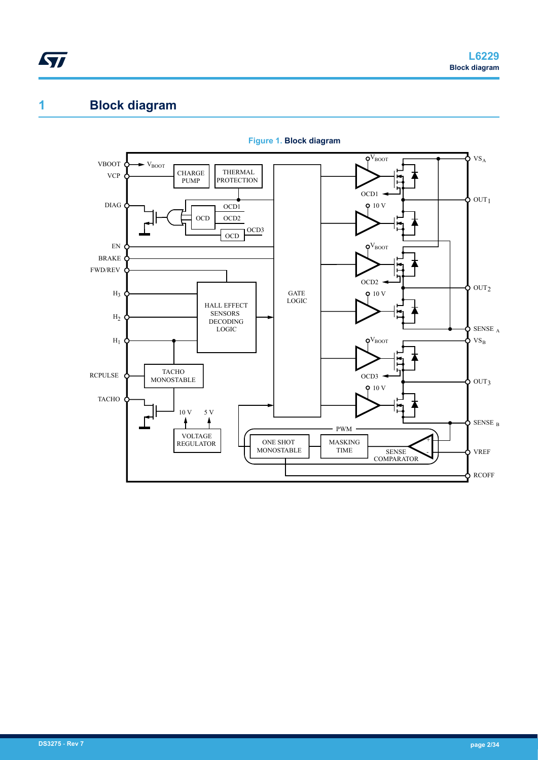# <span id="page-1-0"></span>**1 Block diagram**



**Figure 1. Block diagram**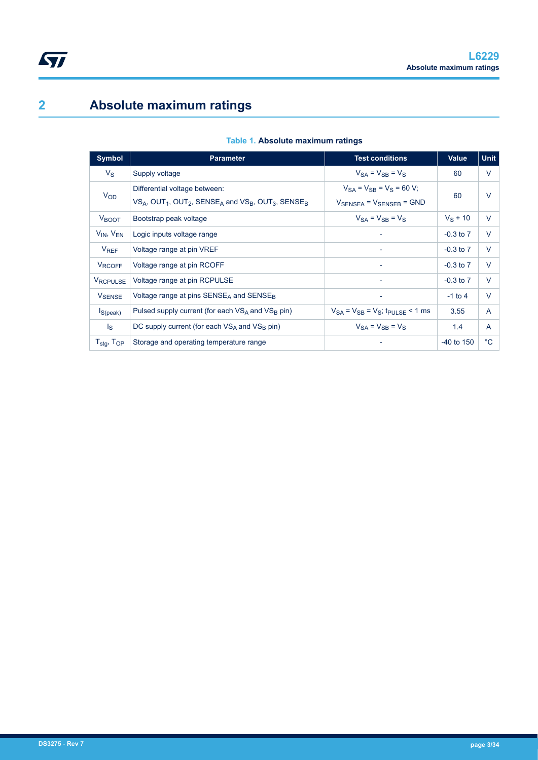# <span id="page-2-0"></span>**2 Absolute maximum ratings**

| Symbol                             | <b>Parameter</b>                                                                                                     | <b>Test conditions</b>                                     | <b>Value</b>  | <b>Unit</b>  |
|------------------------------------|----------------------------------------------------------------------------------------------------------------------|------------------------------------------------------------|---------------|--------------|
| $V_{\rm S}$                        | Supply voltage                                                                                                       | $V_{SA} = V_{SB} = V_S$                                    | 60            | V            |
| <b>V<sub>OD</sub></b>              | Differential voltage between:                                                                                        | $V_{SA} = V_{SB} = V_S = 60 V;$                            | 60            | $\vee$       |
|                                    | $VS_A$ , OUT <sub>1</sub> , OUT <sub>2</sub> , SENSE <sub>A</sub> and $VS_B$ , OUT <sub>3</sub> , SENSE <sub>B</sub> | $V_{\text{SENSEA}}$ = $V_{\text{SENSEB}}$ = GND            |               |              |
| <b>V</b> BOOT                      | Bootstrap peak voltage                                                                                               | $V_{SA} = V_{SB} = V_S$                                    | $V_S$ + 10    | $\vee$       |
| $V_{IN}$ , $V_{EN}$                | Logic inputs voltage range                                                                                           |                                                            | $-0.3$ to $7$ | $\vee$       |
| $V_{REF}$                          | Voltage range at pin VREF                                                                                            | ۰                                                          | $-0.3$ to $7$ | $\vee$       |
| <b>VRCOFF</b>                      | Voltage range at pin RCOFF                                                                                           | $\overline{\phantom{a}}$                                   | $-0.3$ to $7$ | $\vee$       |
| <b>VRCPULSE</b>                    | Voltage range at pin RCPULSE                                                                                         | ۰                                                          | $-0.3$ to $7$ | $\vee$       |
| <b>V</b> SENSE                     | Voltage range at pins $SENSEA$ and $SENSEB$                                                                          | $\overline{\phantom{a}}$                                   | $-1$ to 4     | $\vee$       |
| $I_{S(peak)}$                      | Pulsed supply current (for each $VS_A$ and $VS_B$ pin)                                                               | $V_{SA}$ = $V_{SB}$ = $V_{SI}$ ; t <sub>PULSE</sub> < 1 ms | 3.55          | A            |
| $\mathsf{I}_\mathbf{S}$            | DC supply current (for each $VS_A$ and $VS_B$ pin)                                                                   | $V_{SA} = V_{SB} = V_S$                                    | 1.4           | A            |
| $T_{\text{stg}}$ , $T_{\text{OP}}$ | Storage and operating temperature range                                                                              |                                                            | $-40$ to 150  | $^{\circ}$ C |

#### **Table 1. Absolute maximum ratings**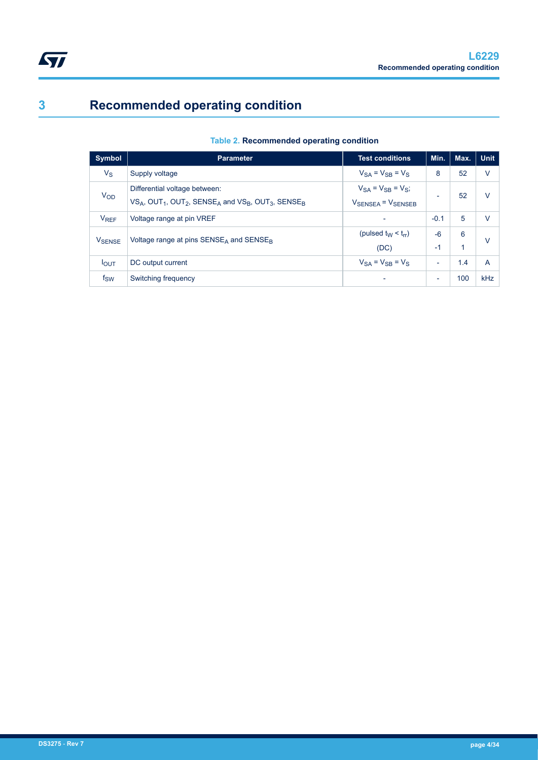<span id="page-3-0"></span>

# **3 Recommended operating condition**

| Table 2. Recommended operating condition |  |
|------------------------------------------|--|
|                                          |  |

| <b>Symbol</b>          | <b>Parameter</b>                                                                                                     | <b>Test conditions</b>                  | Min.                     | Max. | <b>Unit</b>    |
|------------------------|----------------------------------------------------------------------------------------------------------------------|-----------------------------------------|--------------------------|------|----------------|
| $V_S$                  | Supply voltage                                                                                                       | $V_{SA} = V_{SB} = V_S$                 | 8                        | 52   | $\vee$         |
| <b>V<sub>OD</sub></b>  | Differential voltage between:                                                                                        | $V_{SA} = V_{SB} = V_{S}$ ;             |                          | 52   | v              |
|                        | $VS_A$ , OUT <sub>1</sub> , OUT <sub>2</sub> , SENSE <sub>A</sub> and $VS_B$ , OUT <sub>3</sub> , SENSE <sub>B</sub> | $V_{\text{SENSEA}} = V_{\text{SENSEB}}$ | $\overline{\phantom{0}}$ |      |                |
| <b>V<sub>REF</sub></b> | Voltage range at pin VREF                                                                                            |                                         | $-0.1$                   | 5    | v              |
|                        | Voltage range at pins $SENSEA$ and $SENSEB$                                                                          | (pulsed $t_W < t_{rr}$ )                |                          | 6    | v              |
| <b>V</b> SENSE         |                                                                                                                      | (DC)                                    | $-1$                     | 1    |                |
| $I_{OUT}$              | DC output current                                                                                                    | $V_{SA} = V_{SB} = V_S$                 | $\overline{\phantom{a}}$ | 1.4  | $\overline{A}$ |
| $f_{SW}$               | Switching frequency                                                                                                  |                                         | ٠                        | 100  | kHz            |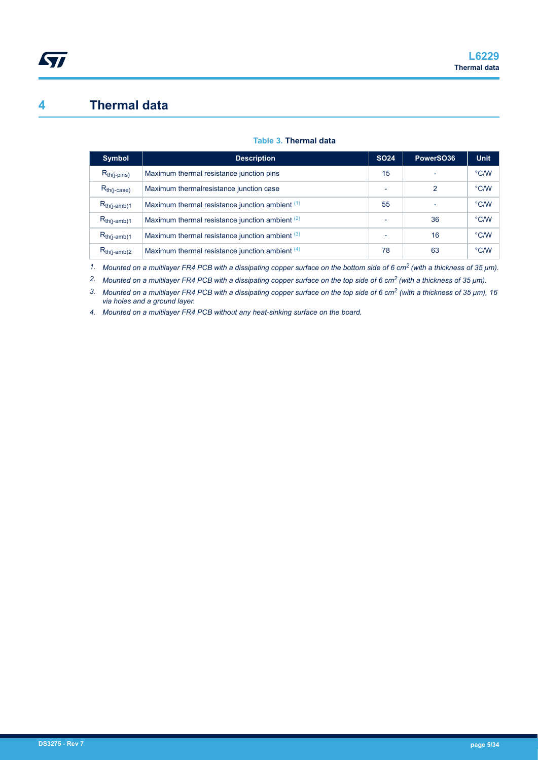## <span id="page-4-0"></span>**4 Thermal data**

#### **Table 3. Thermal data**

| <b>Symbol</b>     | <b>Description</b>                              | <b>SO24</b> | PowerSO36 | <b>Unit</b>   |
|-------------------|-------------------------------------------------|-------------|-----------|---------------|
| $R_{th(i-pins)}$  | Maximum thermal resistance junction pins        | 15          |           | $\degree$ C/W |
| $R_{th (j-case)}$ | Maximum thermalresistance junction case         |             | 2         | $\degree$ C/W |
| $R_{th(j-amb)1}$  | Maximum thermal resistance junction ambient (1) | 55          |           | $\degree$ C/W |
| $R_{th(j-amb)1}$  | Maximum thermal resistance junction ambient (2) |             | 36        | °C/W          |
| $R_{th(i-amb)1}$  | Maximum thermal resistance junction ambient (3) |             | 16        | $\degree$ C/W |
| $R_{th(j-amb)2}$  | Maximum thermal resistance junction ambient (4) | 78          | 63        | $\degree$ C/W |

*1. Mounted on a multilayer FR4 PCB with a dissipating copper surface on the bottom side of 6 cm2 (with a thickness of 35 μm).*

*2. Mounted on a multilayer FR4 PCB with a dissipating copper surface on the top side of 6 cm2 (with a thickness of 35 μm).*

*3. Mounted on a multilayer FR4 PCB with a dissipating copper surface on the top side of 6 cm2 (with a thickness of 35 μm), 16 via holes and a ground layer.*

*4. Mounted on a multilayer FR4 PCB without any heat-sinking surface on the board.*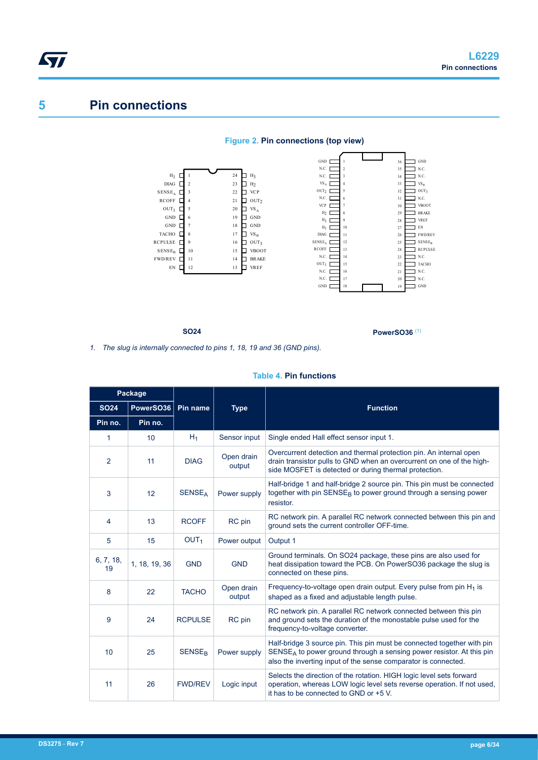## **5 Pin connections**



**SO24 PowerSO36** (1)

*1. The slug is internally connected to pins 1, 18, 19 and 36 (GND pins).*

|                 | Package       |                           |                      |                                                                                                                                                                                                                    |  |  |  |  |
|-----------------|---------------|---------------------------|----------------------|--------------------------------------------------------------------------------------------------------------------------------------------------------------------------------------------------------------------|--|--|--|--|
| <b>SO24</b>     | PowerSO36     | Pin name                  | <b>Type</b>          | <b>Function</b>                                                                                                                                                                                                    |  |  |  |  |
| Pin no.         | Pin no.       |                           |                      |                                                                                                                                                                                                                    |  |  |  |  |
| 1               | 10            | $H_1$                     | Sensor input         | Single ended Hall effect sensor input 1.                                                                                                                                                                           |  |  |  |  |
| 2               | 11            | <b>DIAG</b>               | Open drain<br>output | Overcurrent detection and thermal protection pin. An internal open<br>drain transistor pulls to GND when an overcurrent on one of the high-<br>side MOSFET is detected or during thermal protection.               |  |  |  |  |
| 3               | 12            | <b>SENSE</b> <sub>A</sub> | Power supply         | Half-bridge 1 and half-bridge 2 source pin. This pin must be connected<br>together with pin SENSE <sub>B</sub> to power ground through a sensing power<br>resistor.                                                |  |  |  |  |
| 4               | 13            | <b>RCOFF</b>              | RC pin               | RC network pin. A parallel RC network connected between this pin and<br>ground sets the current controller OFF-time.                                                                                               |  |  |  |  |
| 5               | 15            | OUT <sub>1</sub>          | Power output         | Output 1                                                                                                                                                                                                           |  |  |  |  |
| 6, 7, 18,<br>19 | 1, 18, 19, 36 | <b>GND</b>                | <b>GND</b>           | Ground terminals. On SO24 package, these pins are also used for<br>heat dissipation toward the PCB. On PowerSO36 package the slug is<br>connected on these pins.                                                   |  |  |  |  |
| 8               | 22            | <b>TACHO</b>              | Open drain<br>output | Frequency-to-voltage open drain output. Every pulse from pin $H_1$ is<br>shaped as a fixed and adjustable length pulse.                                                                                            |  |  |  |  |
| 9               | 24            | <b>RCPULSE</b>            | RC pin               | RC network pin. A parallel RC network connected between this pin<br>and ground sets the duration of the monostable pulse used for the<br>frequency-to-voltage converter.                                           |  |  |  |  |
| 10              | 25            | <b>SENSE<sub>R</sub></b>  | Power supply         | Half-bridge 3 source pin. This pin must be connected together with pin<br>$SENSEA$ to power ground through a sensing power resistor. At this pin<br>also the inverting input of the sense comparator is connected. |  |  |  |  |
| 11              | 26            | <b>FWD/REV</b>            | Logic input          | Selects the direction of the rotation. HIGH logic level sets forward<br>operation, whereas LOW logic level sets reverse operation. If not used,<br>it has to be connected to GND or +5 V.                          |  |  |  |  |

**Table 4. Pin functions**

<span id="page-5-0"></span>ST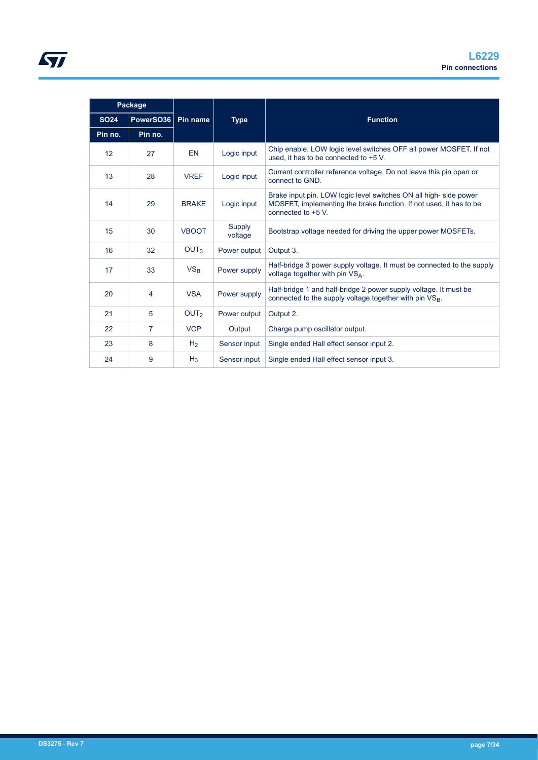|             | Package        |                  |                   |                                                                                                                                                              |
|-------------|----------------|------------------|-------------------|--------------------------------------------------------------------------------------------------------------------------------------------------------------|
| <b>SO24</b> | PowerSO36      | Pin name         | <b>Type</b>       | <b>Function</b>                                                                                                                                              |
| Pin no.     | Pin no.        |                  |                   |                                                                                                                                                              |
| 12          | 27             | <b>EN</b>        | Logic input       | Chip enable. LOW logic level switches OFF all power MOSFET. If not<br>used, it has to be connected to +5 V.                                                  |
| 13          | 28             | <b>VREF</b>      | Logic input       | Current controller reference voltage. Do not leave this pin open or<br>connect to GND.                                                                       |
| 14          | 29             | <b>BRAKE</b>     | Logic input       | Brake input pin. LOW logic level switches ON all high-side power<br>MOSFET, implementing the brake function. If not used, it has to be<br>connected to +5 V. |
| 15          | 30             | <b>VBOOT</b>     | Supply<br>voltage | Bootstrap voltage needed for driving the upper power MOSFETs.                                                                                                |
| 16          | 32             | OUT <sub>3</sub> | Power output      | Output 3.                                                                                                                                                    |
| 17          | 33             | VS <sub>B</sub>  | Power supply      | Half-bridge 3 power supply voltage. It must be connected to the supply<br>voltage together with pin VSA.                                                     |
| 20          | 4              | <b>VSA</b>       | Power supply      | Half-bridge 1 and half-bridge 2 power supply voltage. It must be<br>connected to the supply voltage together with pin VS <sub>B</sub> .                      |
| 21          | 5              | OUT <sub>2</sub> | Power output      | Output 2.                                                                                                                                                    |
| 22          | $\overline{7}$ | <b>VCP</b>       | Output            | Charge pump oscillator output.                                                                                                                               |
| 23          | 8              | H <sub>2</sub>   | Sensor input      | Single ended Hall effect sensor input 2.                                                                                                                     |
| 24          | 9              | $H_3$            | Sensor input      | Single ended Hall effect sensor input 3.                                                                                                                     |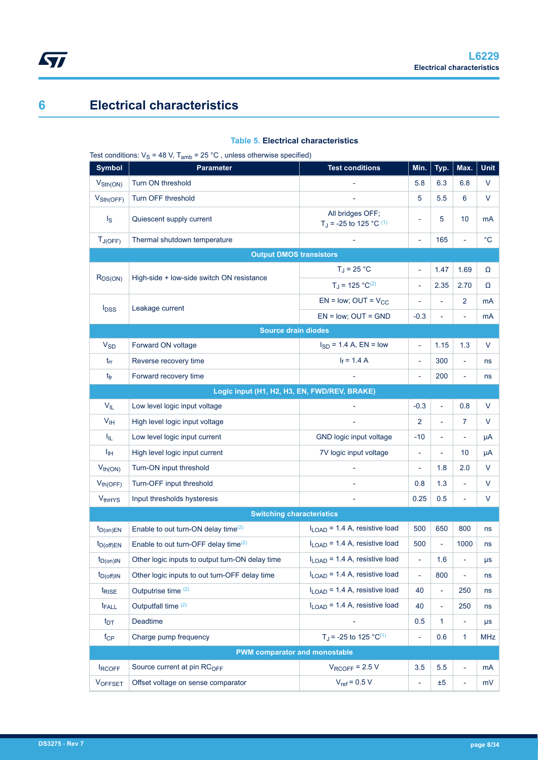## **6 Electrical characteristics**

<span id="page-7-0"></span> $\sqrt{2}$ 

#### **Table 5. Electrical characteristics**

Test conditions:  $V_S = 48$  V,  $T_{amb} = 25$  °C, unless otherwise specified)

| <b>Symbol</b>               | $\cdots$ , allip<br>$\sigma$ , annous other muss opposition,<br><b>Parameter</b> | <b>Test conditions</b>                                            | Min.                     | Typ.                     | Max.                     | <b>Unit</b> |
|-----------------------------|----------------------------------------------------------------------------------|-------------------------------------------------------------------|--------------------------|--------------------------|--------------------------|-------------|
| $V_{\text{Sth}(\text{ON})}$ | Turn ON threshold                                                                |                                                                   | 5.8                      | 6.3                      | 6.8                      | $\vee$      |
| $V_{\text{Sth(OFF)}}$       | Turn OFF threshold                                                               |                                                                   | 5                        | 5.5                      | 6                        | V           |
| $\mathsf{I}_\mathsf{S}$     | Quiescent supply current                                                         | All bridges OFF;<br>T <sub>J</sub> = -25 to 125 °C <sup>(1)</sup> | ÷                        | 5                        | 10                       | mA          |
| $T_{J(OFF)}$                | Thermal shutdown temperature                                                     |                                                                   | ä,                       | 165                      | ÷,                       | $^{\circ}C$ |
|                             | <b>Output DMOS transistors</b>                                                   |                                                                   |                          |                          |                          |             |
| $R_{DS(ON)}$                | High-side + low-side switch ON resistance                                        | $T_J = 25 °C$                                                     | ä,                       | 1.47                     | 1.69                     | Ω           |
|                             |                                                                                  | $T_J = 125 °C^{(2)}$                                              | ÷,                       | 2.35                     | 2.70                     | Ω           |
| $I_{DSS}$                   | Leakage current                                                                  | $EN = low$ ; OUT = $V_{CC}$                                       | $\overline{\phantom{a}}$ | ä,                       | $\overline{2}$           | mA          |
|                             |                                                                                  | $EN = low$ ; $OUT = GND$                                          | $-0.3$                   | $\overline{\phantom{0}}$ | ÷,                       | mA          |
|                             | <b>Source drain diodes</b>                                                       |                                                                   |                          |                          |                          |             |
| <b>V<sub>SD</sub></b>       | Forward ON voltage                                                               | $I_{SD} = 1.4 A$ , EN = low                                       | ä,                       | 1.15                     | 1.3                      | $\vee$      |
| $t_{rr}$                    | Reverse recovery time                                                            | $I_f = 1.4 A$                                                     | $\blacksquare$           | 300                      | $\blacksquare$           | ns          |
| $t_{fr}$                    | Forward recovery time                                                            |                                                                   | $\overline{\phantom{a}}$ | 200                      | $\overline{\phantom{a}}$ | ns          |
|                             | Logic input (H1, H2, H3, EN, FWD/REV, BRAKE)                                     |                                                                   |                          |                          |                          |             |
| $V_{IL}$                    | Low level logic input voltage                                                    |                                                                   | $-0.3$                   | L,                       | 0.8                      | $\vee$      |
| V <sub>IH</sub>             | High level logic input voltage                                                   |                                                                   | $\overline{2}$           | L,                       | 7                        | V           |
| Ι <sub>ΙL</sub>             | Low level logic input current                                                    | GND logic input voltage                                           | $-10$                    | ÷,                       | ÷,                       | μA          |
| Iін                         | High level logic input current                                                   | 7V logic input voltage                                            | $\overline{\phantom{a}}$ | $\overline{\phantom{0}}$ | 10                       | μA          |
| $V_{th(ON)}$                | Turn-ON input threshold                                                          |                                                                   | ÷,                       | 1.8                      | 2.0                      | V           |
| $V_{th(OFF)}$               | Turn-OFF input threshold                                                         |                                                                   | 0.8                      | 1.3                      | ä,                       | V           |
| <b>VthHYS</b>               | Input thresholds hysteresis                                                      |                                                                   | 0.25                     | 0.5                      | ÷,                       | V           |
|                             | <b>Switching characteristics</b>                                                 |                                                                   |                          |                          |                          |             |
| $t_{D(on)EN}$               | Enable to out turn-ON delay time <sup>(2)</sup>                                  | $I_{\text{LOAD}}$ = 1.4 A, resistive load                         | 500                      | 650                      | 800                      | ns          |
| $t_{D(off)EN}$              | Enable to out turn-OFF delay time <sup>(2)</sup>                                 | $I_{\text{LOAD}}$ = 1.4 A, resistive load                         | 500                      | L,                       | 1000                     | ns          |
| $t_{D(0n)IN}$               | Other logic inputs to output turn-ON delay time                                  | $I_{LOAD}$ = 1.4 A, resistive load                                | L,                       | 1.6                      |                          | μs          |
| $t_{D(off)IN}$              | Other logic inputs to out turn-OFF delay time                                    | $I1$ $_{\text{OAD}}$ = 1.4 A, resistive load                      | ä,                       | 800                      | ä,                       | ns          |
| t <sub>RISE</sub>           | Outputrise time (2)                                                              | $I_{\text{LOAD}}$ = 1.4 A, resistive load                         | 40                       | ÷,                       | 250                      | ns          |
| t <sub>FALL</sub>           | Outputfall time (2)                                                              | $I_{\text{LOAD}}$ = 1.4 A, resistive load                         | 40                       | ÷                        | 250                      | ns          |
| $t_{DT}$                    | Deadtime                                                                         |                                                                   | 0.5                      | $\mathbf{1}$             | $\blacksquare$           | μs          |
| $f_{\rm CP}$                | Charge pump frequency                                                            | T <sub>J</sub> = -25 to 125 °C <sup>(1)</sup>                     | $\Box$                   | 0.6                      | 1                        | MHz         |
|                             | <b>PWM comparator and monostable</b>                                             |                                                                   |                          |                          |                          |             |
| <b>IRCOFF</b>               | Source current at pin RC <sub>OFF</sub>                                          | $V_{\text{ROFF}}$ = 2.5 V                                         | 3.5                      | 5.5                      | ÷,                       | mA          |
| <b>VOFFSET</b>              | Offset voltage on sense comparator                                               | $V_{ref}$ = 0.5 V                                                 | $\overline{\phantom{a}}$ | ±5                       | $\overline{\phantom{a}}$ | mV          |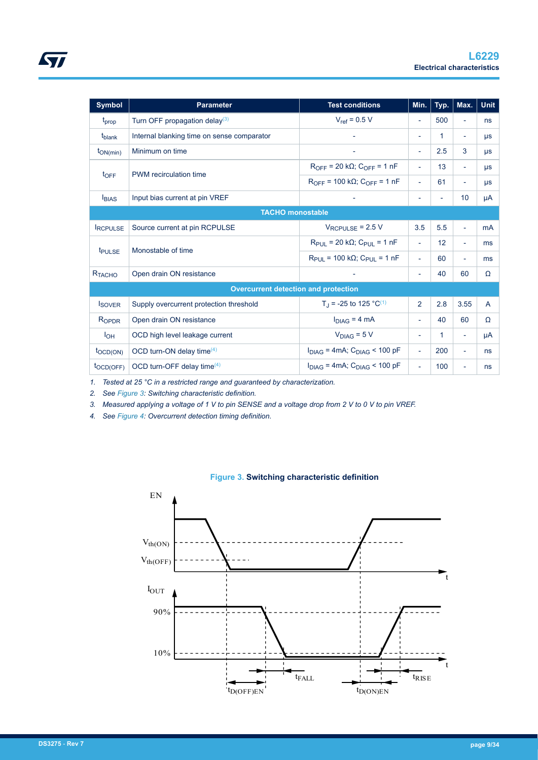<span id="page-8-0"></span>

| Symbol             | Parameter                                  | <b>Test conditions</b>                                      | Min.                     | Typ.                     | Max.                     | Unit    |
|--------------------|--------------------------------------------|-------------------------------------------------------------|--------------------------|--------------------------|--------------------------|---------|
| t <sub>prop</sub>  | Turn OFF propagation delay <sup>(3)</sup>  | $V_{ref}$ = 0.5 V                                           | ٠                        | 500                      | ٠                        | ns      |
| t <sub>blank</sub> | Internal blanking time on sense comparator |                                                             | $\overline{\phantom{0}}$ | 1                        | ٠                        | μs      |
| $t_{ON(min)}$      | Minimum on time                            | $\overline{\phantom{a}}$                                    | $\overline{\phantom{a}}$ | 2.5                      | 3                        | $\mu s$ |
| $t_{\text{OFF}}$   |                                            | $R_{\text{OFF}}$ = 20 k $\Omega$ ; $C_{\text{OFF}}$ = 1 nF  | $\sim$                   | 13                       | $\overline{\phantom{a}}$ | $\mu s$ |
|                    | PWM recirculation time                     | $R_{\text{OFF}}$ = 100 k $\Omega$ ; $C_{\text{OFF}}$ = 1 nF | $\equiv$                 | 61                       | ٠                        | $\mu s$ |
| <b>IBIAS</b>       | Input bias current at pin VREF             |                                                             | $\overline{\phantom{0}}$ | $\overline{\phantom{a}}$ | 10                       | μA      |
|                    | <b>TACHO</b> monostable                    |                                                             |                          |                          |                          |         |
| <b>RCPULSE</b>     | Source current at pin RCPULSE              | $V_{\text{RCPULSE}}$ = 2.5 V                                | 3.5                      | 5.5                      | $\overline{a}$           | mA      |
|                    |                                            |                                                             |                          |                          |                          |         |

| <b>t</b> PULSE        | Monostable of time                          | $R_{\text{PIII}}$ = 20 k $\Omega$ ; $C_{\text{PIII}}$ = 1 nF             | ٠                        | 12  | ٠    | ms             |  |
|-----------------------|---------------------------------------------|--------------------------------------------------------------------------|--------------------------|-----|------|----------------|--|
|                       |                                             | $R_{\text{PUI}} = 100 \text{ k}\Omega$ ; $C_{\text{PUI}} = 1 \text{ nF}$ | $\overline{\phantom{0}}$ | 60  | ٠    | ms             |  |
| RTACHO                | Open drain ON resistance                    | $\overline{\phantom{0}}$                                                 | 40                       | 60  | Ω    |                |  |
|                       | <b>Overcurrent detection and protection</b> |                                                                          |                          |     |      |                |  |
| <b>ISOVER</b>         | Supply overcurrent protection threshold     | T <sub>J</sub> = -25 to 125 °C <sup>(1)</sup>                            | $\overline{2}$           | 2.8 | 3.55 | $\overline{A}$ |  |
| ROPDR                 | Open drain ON resistance                    | $I_{DIAG}$ = 4 mA                                                        | $\overline{\phantom{a}}$ | 40  | 60   | $\Omega$       |  |
| $I_{OH}$              | OCD high level leakage current              | $V_{DIAG} = 5 V$                                                         | $\overline{\phantom{0}}$ | 1   | ÷,   | μA             |  |
| $to$ CD(ON)           | OCD turn-ON delay time $(4)$                | $I_{DIAG}$ = 4mA; $C_{DIAG}$ < 100 pF                                    | $\overline{\phantom{a}}$ | 200 | ٠    | ns             |  |
| $t_{\text{OCD(OFF)}}$ | OCD turn-OFF delay time $(4)$               | $I_{DIAG}$ = 4mA; $C_{DIAG}$ < 100 pF                                    | $\overline{\phantom{a}}$ | 100 | ٠    | ns             |  |

*1. Tested at 25 °C in a restricted range and guaranteed by characterization.*

*2. See Figure 3: Switching characteristic definition.*

*3. Measured applying a voltage of 1 V to pin SENSE and a voltage drop from 2 V to 0 V to pin VREF.*

*4. See [Figure 4](#page-9-0): Overcurrent detection timing definition.*



**Figure 3. Switching characteristic definition**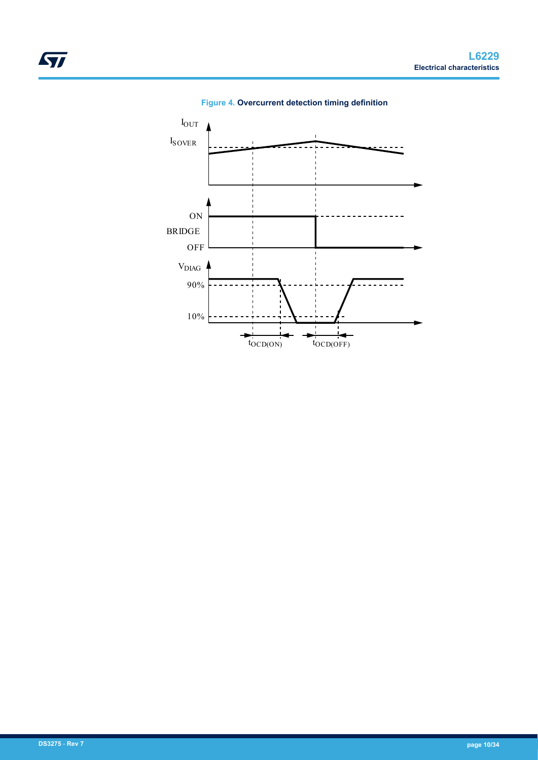<span id="page-9-0"></span>

**Figure 4. Overcurrent detection timing definition**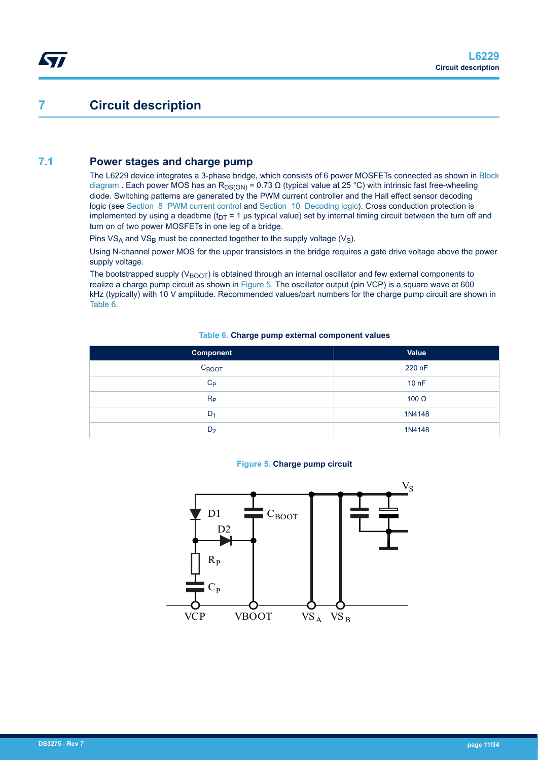## **7 Circuit description**

<span id="page-10-0"></span>57

### **7.1 Power stages and charge pump**

The L6229 device integrates a 3-phase bridge, which consists of 6 power MOSFETs connected as shown in [Block](#page-1-0) [diagram](#page-1-0) . Each power MOS has an R<sub>DS(ON)</sub> = 0.73  $\Omega$  (typical value at 25 °C) with intrinsic fast free-wheeling diode. Switching patterns are generated by the PWM current controller and the Hall effect sensor decoding logic (see [Section 8 PWM current control](#page-12-0) and [Section 10 Decoding logic](#page-16-0)). Cross conduction protection is implemented by using a deadtime ( $t_{DT}$  = 1 µs typical value) set by internal timing circuit between the turn off and turn on of two power MOSFETs in one leg of a bridge.

Pins  $VS_A$  and  $VS_B$  must be connected together to the supply voltage ( $V_S$ ).

Using N-channel power MOS for the upper transistors in the bridge requires a gate drive voltage above the power supply voltage.

The bootstrapped supply ( $V_{\text{BOOT}}$ ) is obtained through an internal oscillator and few external components to realize a charge pump circuit as shown in Figure 5. The oscillator output (pin VCP) is a square wave at 600 kHz (typically) with 10 V amplitude. Recommended values/part numbers for the charge pump circuit are shown in Table 6.

#### **Table 6. Charge pump external component values**

| Component         | Value            |
|-------------------|------------------|
| $C_{\text{BOOT}}$ | 220 nF           |
| $C_{\mathsf{P}}$  | 10 <sub>nF</sub> |
| $R_{\rm P}$       | 100 $\Omega$     |
| $D_1$             | 1N4148           |
| D <sub>2</sub>    | 1N4148           |

#### **Figure 5. Charge pump circuit**

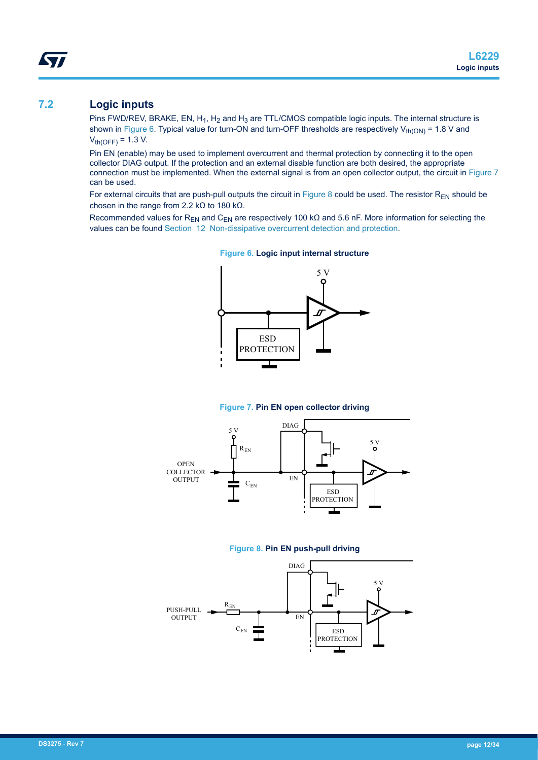### <span id="page-11-0"></span>**7.2 Logic inputs**

Pins FWD/REV, BRAKE, EN,  $H_1$ ,  $H_2$  and  $H_3$  are TTL/CMOS compatible logic inputs. The internal structure is shown in Figure 6. Typical value for turn-ON and turn-OFF thresholds are respectively  $V_{th(ON)} = 1.8$  V and  $V_{th(OFF)} = 1.3 V.$ 

Pin EN (enable) may be used to implement overcurrent and thermal protection by connecting it to the open collector DIAG output. If the protection and an external disable function are both desired, the appropriate connection must be implemented. When the external signal is from an open collector output, the circuit in Figure 7 can be used.

For external circuits that are push-pull outputs the circuit in Figure 8 could be used. The resistor  $R_{EN}$  should be chosen in the range from 2.2 kΩ to 180 kΩ.

Recommended values for R<sub>EN</sub> and C<sub>EN</sub> are respectively 100 kΩ and 5.6 nF. More information for selecting the values can be found [Section 12 Non-dissipative overcurrent detection and protection](#page-20-0).



**Figure 6. Logic input internal structure**

**Figure 7. Pin EN open collector driving**



#### **Figure 8. Pin EN push-pull driving**

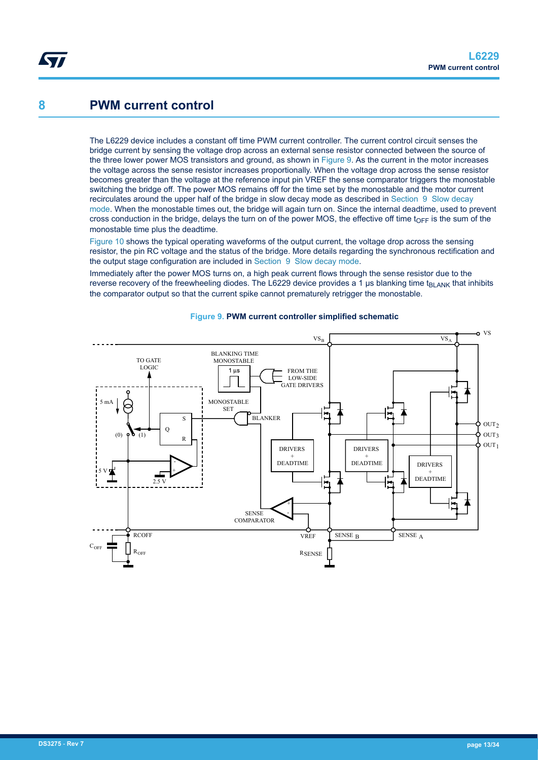### <span id="page-12-0"></span>**8 PWM current control**

The L6229 device includes a constant off time PWM current controller. The current control circuit senses the bridge current by sensing the voltage drop across an external sense resistor connected between the source of the three lower power MOS transistors and ground, as shown in Figure 9. As the current in the motor increases the voltage across the sense resistor increases proportionally. When the voltage drop across the sense resistor becomes greater than the voltage at the reference input pin VREF the sense comparator triggers the monostable switching the bridge off. The power MOS remains off for the time set by the monostable and the motor current recirculates around the upper half of the bridge in slow decay mode as described in [Section 9 Slow decay](#page-15-0) [mode.](#page-15-0) When the monostable times out, the bridge will again turn on. Since the internal deadtime, used to prevent cross conduction in the bridge, delays the turn on of the power MOS, the effective off time  $t_{\text{OFF}}$  is the sum of the monostable time plus the deadtime.

[Figure 10](#page-13-0) shows the typical operating waveforms of the output current, the voltage drop across the sensing resistor, the pin RC voltage and the status of the bridge. More details regarding the synchronous rectification and the output stage configuration are included in [Section 9 Slow decay mode](#page-15-0).

Immediately after the power MOS turns on, a high peak current flows through the sense resistor due to the reverse recovery of the freewheeling diodes. The L6229 device provides a 1  $\mu$ s blanking time t<sub>BLANK</sub> that inhibits the comparator output so that the current spike cannot prematurely retrigger the monostable.



#### **Figure 9. PWM current controller simplified schematic**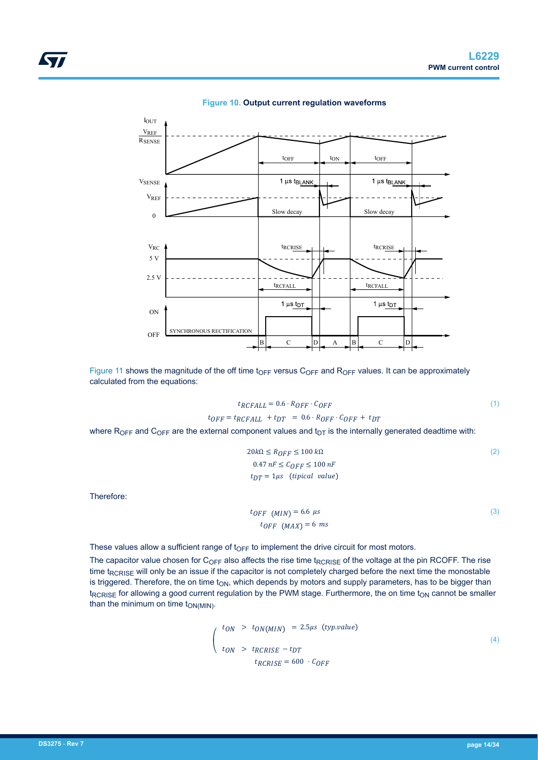<span id="page-13-0"></span>



[Figure 11](#page-14-0) shows the magnitude of the off time t<sub>OFF</sub> versus C<sub>OFF</sub> and R<sub>OFF</sub> values. It can be approximately calculated from the equations:

$$
t_{RCFALL} = 0.6 \cdot R_{OFF} \cdot C_{OFF}
$$
  
\n
$$
t_{OFF} = t_{RCFALL} + t_{DT} = 0.6 \cdot R_{OFF} \cdot C_{OFF} + t_{DT}
$$
 (1)

where  $R_{OFF}$  and  $C_{OFF}$  are the external component values and  $t_{DT}$  is the internally generated deadtime with:

$$
20k\Omega \le R_{OFF} \le 100 k\Omega
$$
  
0.47 nF  $\le C_{OFF} \le 100 nF$   

$$
t_{DT} = 1\mu s \quad \text{(tipical value)}
$$
 (2)

Therefore:

$$
t_{OFF} (MIN) = 6.6 \text{ } \mu s
$$
  

$$
t_{OFF} (MAX) = 6 \text{ } ms
$$
 (3)

These values allow a sufficient range of  $t_{OFF}$  to implement the drive circuit for most motors.

The capacitor value chosen for C<sub>OFF</sub> also affects the rise time t<sub>RCRISE</sub> of the voltage at the pin RCOFF. The rise time t<sub>RCRISE</sub> will only be an issue if the capacitor is not completely charged before the next time the monostable is triggered. Therefore, the on time  $t_{ON}$ , which depends by motors and supply parameters, has to be bigger than t<sub>RCRISE</sub> for allowing a good current regulation by the PWM stage. Furthermore, the on time t<sub>ON</sub> cannot be smaller than the minimum on time  $t_{ON(MIN)}$ .

$$
t_{ON} > t_{ON(MIN)} = 2.5\mu s \text{ (typ.value)}
$$
\n
$$
t_{ON} > t_{RCRISE} - t_{DT}
$$
\n
$$
t_{RCRISE} = 600 \cdot C_{OFF}
$$
\n(4)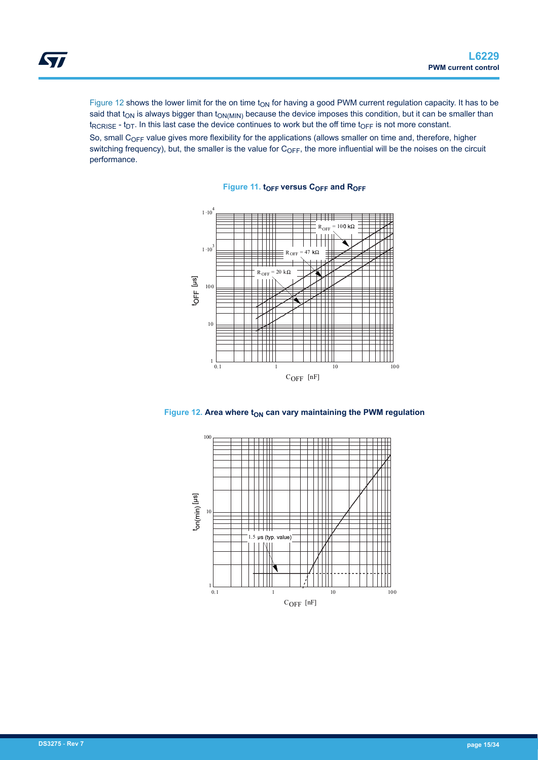<span id="page-14-0"></span>Figure 12 shows the lower limit for the on time  $t_{ON}$  for having a good PWM current regulation capacity. It has to be said that t<sub>ON</sub> is always bigger than t<sub>ON(MIN)</sub> because the device imposes this condition, but it can be smaller than  $t_{RCRISE}$  -  $t_{DT}$ . In this last case the device continues to work but the off time  $t_{OFF}$  is not more constant.

So, small  $C_{OFF}$  value gives more flexibility for the applications (allows smaller on time and, therefore, higher switching frequency), but, the smaller is the value for  $C_{OFF}$ , the more influential will be the noises on the circuit performance.

**Figure 11. tOFF versus COFF and ROFF**





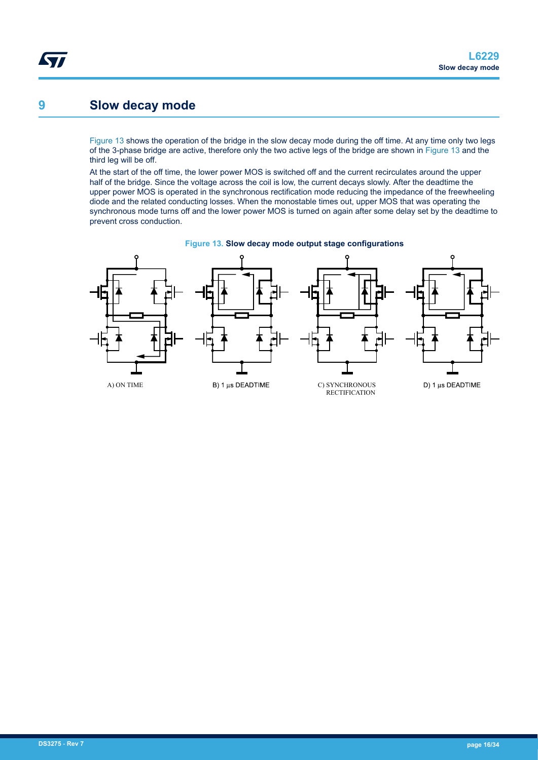## <span id="page-15-0"></span>**9 Slow decay mode**

Figure 13 shows the operation of the bridge in the slow decay mode during the off time. At any time only two legs of the 3-phase bridge are active, therefore only the two active legs of the bridge are shown in Figure 13 and the third leg will be off.

At the start of the off time, the lower power MOS is switched off and the current recirculates around the upper half of the bridge. Since the voltage across the coil is low, the current decays slowly. After the deadtime the upper power MOS is operated in the synchronous rectification mode reducing the impedance of the freewheeling diode and the related conducting losses. When the monostable times out, upper MOS that was operating the synchronous mode turns off and the lower power MOS is turned on again after some delay set by the deadtime to prevent cross conduction.



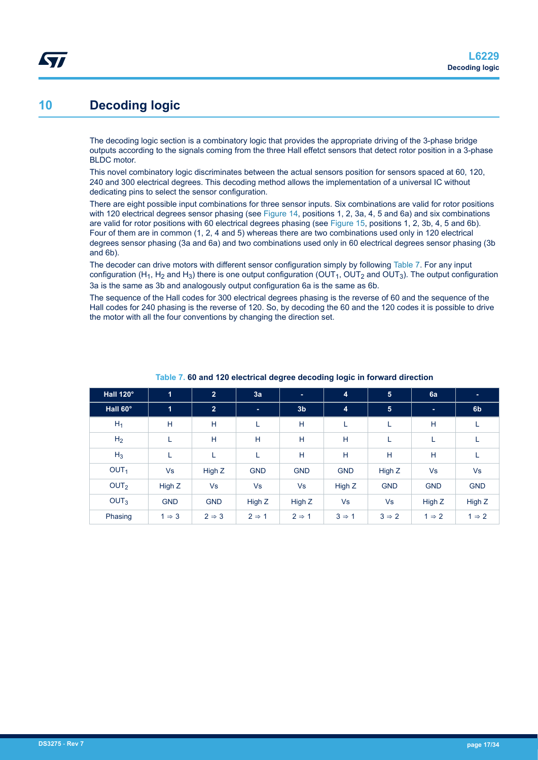## <span id="page-16-0"></span>**10 Decoding logic**

The decoding logic section is a combinatory logic that provides the appropriate driving of the 3-phase bridge outputs according to the signals coming from the three Hall effetct sensors that detect rotor position in a 3-phase BLDC motor.

This novel combinatory logic discriminates between the actual sensors position for sensors spaced at 60, 120, 240 and 300 electrical degrees. This decoding method allows the implementation of a universal IC without dedicating pins to select the sensor configuration.

There are eight possible input combinations for three sensor inputs. Six combinations are valid for rotor positions with 120 electrical degrees sensor phasing (see [Figure 14,](#page-17-0) positions 1, 2, 3a, 4, 5 and 6a) and six combinations are valid for rotor positions with 60 electrical degrees phasing (see [Figure 15,](#page-17-0) positions 1, 2, 3b, 4, 5 and 6b). Four of them are in common (1, 2, 4 and 5) whereas there are two combinations used only in 120 electrical degrees sensor phasing (3a and 6a) and two combinations used only in 60 electrical degrees sensor phasing (3b and 6b).

The decoder can drive motors with different sensor configuration simply by following Table 7. For any input configuration (H<sub>1</sub>, H<sub>2</sub> and H<sub>3</sub>) there is one output configuration (OUT<sub>1</sub>, OUT<sub>2</sub> and OUT<sub>3</sub>). The output configuration 3a is the same as 3b and analogously output configuration 6a is the same as 6b.

The sequence of the Hall codes for 300 electrical degrees phasing is the reverse of 60 and the sequence of the Hall codes for 240 phasing is the reverse of 120. So, by decoding the 60 and the 120 codes it is possible to drive the motor with all the four conventions by changing the direction set.

| Hall 120°        | $\overline{1}$    | $\overline{2}$    | 3a                | ×.                | 4                 | $5\phantom{.0}$   | 6a                | ÷                 |
|------------------|-------------------|-------------------|-------------------|-------------------|-------------------|-------------------|-------------------|-------------------|
| Hall 60°         | $\overline{1}$    | $\overline{2}$    | m.                | 3 <sub>b</sub>    | $\overline{4}$    | 5                 | ٠                 | 6 <sub>b</sub>    |
| $H_1$            | H                 | H                 | ш                 | H                 | ш                 | L                 | H                 | ц                 |
| H <sub>2</sub>   | ш                 | H                 | H                 | H                 | H                 | L                 | L                 | L.                |
| $H_3$            | L                 |                   | L                 | H                 | H                 | H                 | H                 | L                 |
| OUT <sub>1</sub> | Vs                | High Z            | <b>GND</b>        | <b>GND</b>        | <b>GND</b>        | High Z            | <b>Vs</b>         | Vs                |
| OUT <sub>2</sub> | High Z            | <b>Vs</b>         | <b>Vs</b>         | <b>Vs</b>         | High Z            | <b>GND</b>        | <b>GND</b>        | <b>GND</b>        |
| OUT <sub>3</sub> | <b>GND</b>        | <b>GND</b>        | High Z            | High Z            | Vs                | Vs                | High Z            | High Z            |
| Phasing          | $1 \Rightarrow 3$ | $2 \Rightarrow 3$ | $2 \Rightarrow 1$ | $2 \Rightarrow 1$ | $3 \Rightarrow 1$ | $3 \Rightarrow 2$ | $1 \Rightarrow 2$ | $1 \Rightarrow 2$ |

#### **Table 7. 60 and 120 electrical degree decoding logic in forward direction**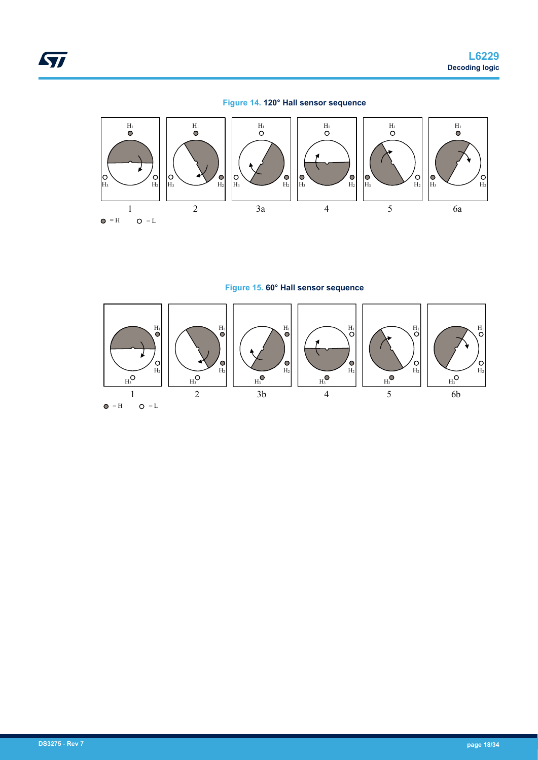

<span id="page-17-0"></span>

**Figure 15. 60° Hall sensor sequence**

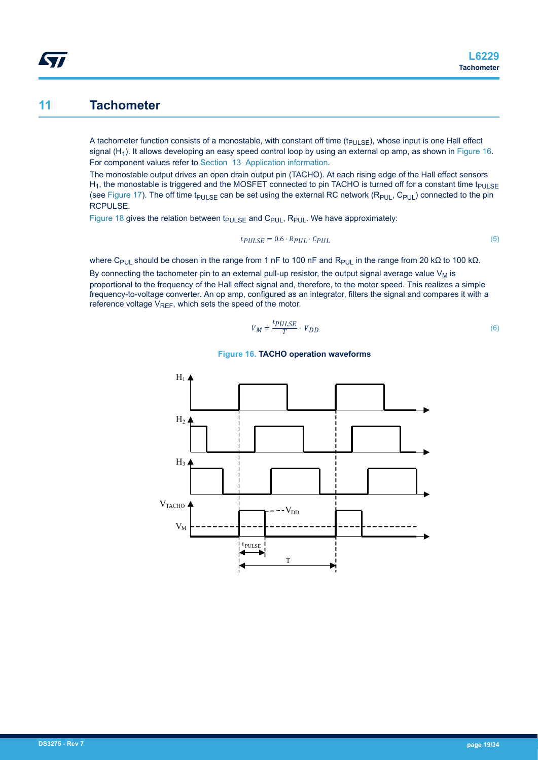### <span id="page-18-0"></span>**11 Tachometer**

A tachometer function consists of a monostable, with constant off time ( $t_{PULSE}$ ), whose input is one Hall effect signal  $(H_1)$ . It allows developing an easy speed control loop by using an external op amp, as shown in Figure 16. For component values refer to [Section 13 Application information.](#page-23-0)

The monostable output drives an open drain output pin (TACHO). At each rising edge of the Hall effect sensors H<sub>1</sub>, the monostable is triggered and the MOSFET connected to pin TACHO is turned off for a constant time t<sub>PULSE</sub> (see [Figure 17](#page-19-0)). The off time t<sub>PULSE</sub> can be set using the external RC network (R<sub>PUL</sub>, C<sub>PUL</sub>) connected to the pin RCPULSE.

[Figure 18](#page-19-0) gives the relation between  $t_{PULSE}$  and  $C_{PUL}$ ,  $R_{PUL}$ . We have approximately:

$$
tp_{ULSE} = 0.6 \cdot R_{PUL} \cdot C_{PUL} \tag{5}
$$

where C<sub>PUL</sub> should be chosen in the range from 1 nF to 100 nF and R<sub>PUL</sub> in the range from 20 kΩ to 100 kΩ.

By connecting the tachometer pin to an external pull-up resistor, the output signal average value  $V_M$  is proportional to the frequency of the Hall effect signal and, therefore, to the motor speed. This realizes a simple frequency-to-voltage converter. An op amp, configured as an integrator, filters the signal and compares it with a reference voltage  $V_{RFF}$ , which sets the speed of the motor.

$$
V_M = \frac{t_{PULSE}}{T} \cdot V_{DD} \tag{6}
$$



**Figure 16. TACHO operation waveforms**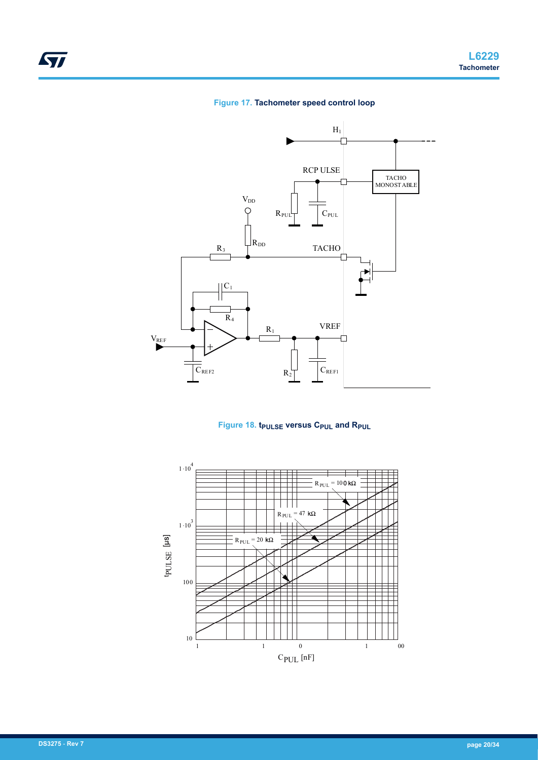#### **Figure 17. Tachometer speed control loop**

<span id="page-19-0"></span>

### **Figure 18. tPULSE versus CPUL and RPUL**

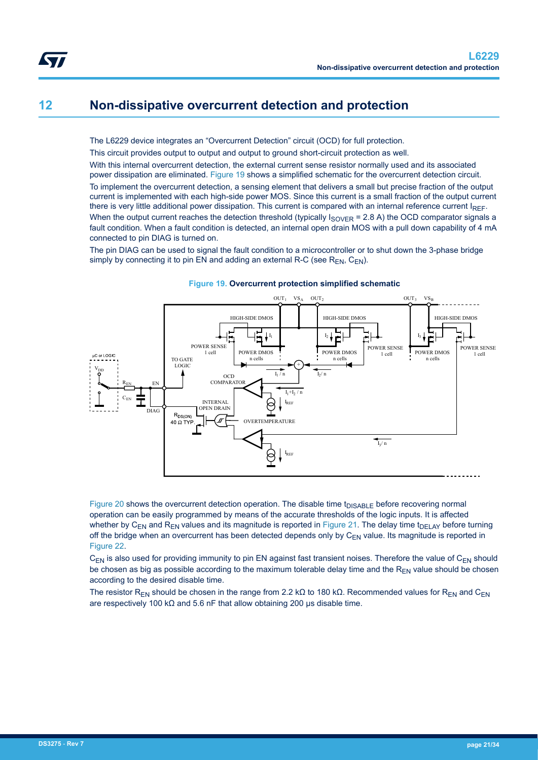## <span id="page-20-0"></span>**12 Non-dissipative overcurrent detection and protection**

The L6229 device integrates an "Overcurrent Detection" circuit (OCD) for full protection.

This circuit provides output to output and output to ground short-circuit protection as well.

With this internal overcurrent detection, the external current sense resistor normally used and its associated power dissipation are eliminated. Figure 19 shows a simplified schematic for the overcurrent detection circuit.

To implement the overcurrent detection, a sensing element that delivers a small but precise fraction of the output current is implemented with each high-side power MOS. Since this current is a small fraction of the output current there is very little additional power dissipation. This current is compared with an internal reference current IREF. When the output current reaches the detection threshold (typically  $I_{\text{SOVER}}$  = 2.8 A) the OCD comparator signals a fault condition. When a fault condition is detected, an internal open drain MOS with a pull down capability of 4 mA connected to pin DIAG is turned on.

The pin DIAG can be used to signal the fault condition to a microcontroller or to shut down the 3-phase bridge simply by connecting it to pin EN and adding an external R-C (see  $R_{EN}$ ,  $C_{EN}$ ).



#### **Figure 19. Overcurrent protection simplified schematic**

[Figure 20](#page-21-0) shows the overcurrent detection operation. The disable time  $t_{DISARI}$   $\epsilon$  before recovering normal operation can be easily programmed by means of the accurate thresholds of the logic inputs. It is affected whether by C<sub>EN</sub> and R<sub>EN</sub> values and its magnitude is reported in [Figure 21](#page-21-0). The delay time t<sub>DELAY</sub> before turning off the bridge when an overcurrent has been detected depends only by  $C_{EN}$  value. Its magnitude is reported in [Figure 22](#page-22-0).

 $C_{FN}$  is also used for providing immunity to pin EN against fast transient noises. Therefore the value of  $C_{FN}$  should be chosen as big as possible according to the maximum tolerable delay time and the  $R_{FN}$  value should be chosen according to the desired disable time.

The resistor R<sub>EN</sub> should be chosen in the range from 2.2 kΩ to 180 kΩ. Recommended values for R<sub>EN</sub> and C<sub>EN</sub> are respectively 100 kΩ and 5.6 nF that allow obtaining 200 μs disable time.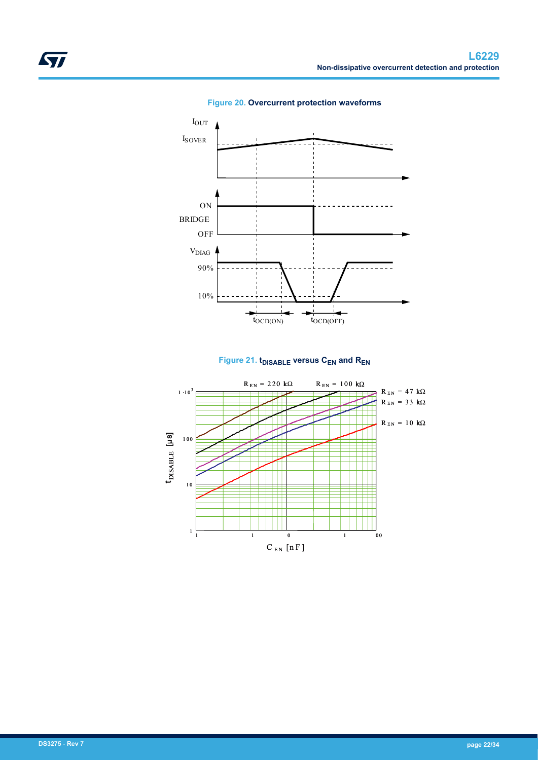<span id="page-21-0"></span>

**Figure 20. Overcurrent protection waveforms**



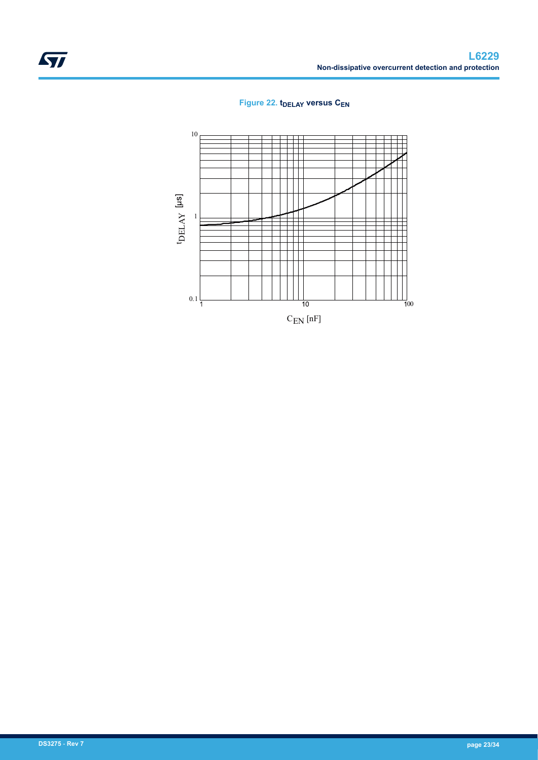

<span id="page-22-0"></span>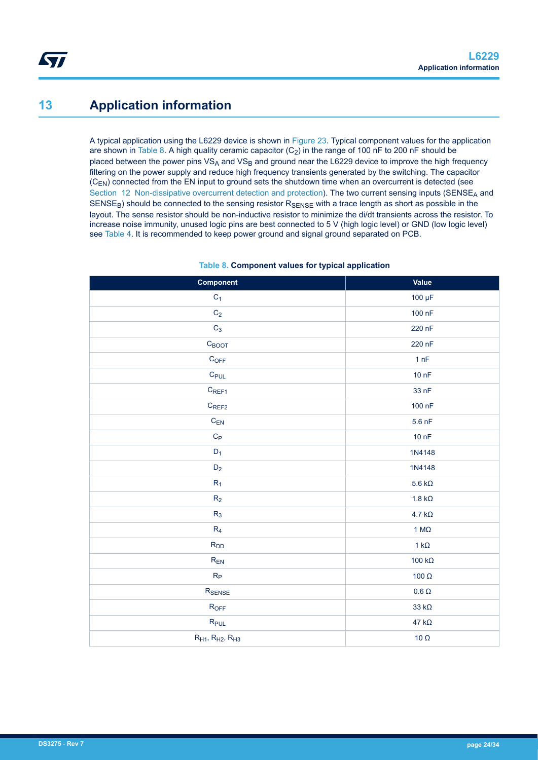## <span id="page-23-0"></span>**13 Application information**

A typical application using the L6229 device is shown in [Figure 23](#page-24-0). Typical component values for the application are shown in Table 8. A high quality ceramic capacitor  $(C_2)$  in the range of 100 nF to 200 nF should be placed between the power pins  $VS_A$  and  $VS_B$  and ground near the L6229 device to improve the high frequency filtering on the power supply and reduce high frequency transients generated by the switching. The capacitor (C<sub>EN</sub>) connected from the EN input to ground sets the shutdown time when an overcurrent is detected (see [Section 12 Non-dissipative overcurrent detection and protection](#page-20-0)). The two current sensing inputs (SENSE<sub>A</sub> and  $SENSE<sub>B</sub>$ ) should be connected to the sensing resistor  $R<sub>SENSE</sub>$  with a trace length as short as possible in the layout. The sense resistor should be non-inductive resistor to minimize the di/dt transients across the resistor. To increase noise immunity, unused logic pins are best connected to 5 V (high logic level) or GND (low logic level) see [Table 4](#page-5-0). It is recommended to keep power ground and signal ground separated on PCB.

| Component                      | Value          |
|--------------------------------|----------------|
| $C_1$                          | 100 µF         |
| $\rm{C}_2$                     | 100 nF         |
| $C_3$                          | 220 nF         |
| $C_{\text{BOOT}}$              | 220 nF         |
| $\mathsf{C}_{\mathsf{OFF}}$    | 1 nF           |
| $C_{PUL}$                      | 10 nF          |
| $C_{REF1}$                     | 33 nF          |
| $C_{REF2}$                     | 100 nF         |
| $C_{\sf EN}$                   | $5.6$ nF       |
| $\mathrm{C}_{\textsf{P}}$      | 10 nF          |
| $D_1$                          | 1N4148         |
| $D_2$                          | 1N4148         |
| $R_1$                          | 5.6 k $\Omega$ |
| $\mathsf{R}_2$                 | 1.8 k $\Omega$ |
| $R_3$                          | 4.7 k $\Omega$ |
| $\mathsf{R}_4$                 | 1 $M\Omega$    |
| $R_{DD}$                       | 1 k $\Omega$   |
| $R_{\mathsf{EN}}$              | 100 k $\Omega$ |
| $R_{P}$                        | 100 $\Omega$   |
| $R_{\rm SENSE}$                | 0.6 $\Omega$   |
| $R_{OFF}$                      | 33 k $\Omega$  |
| $R_{PUL}$                      | 47 k $\Omega$  |
| $R_{H1}$ , $R_{H2}$ , $R_{H3}$ | 10 $\Omega$    |

#### **Table 8. Component values for typical application**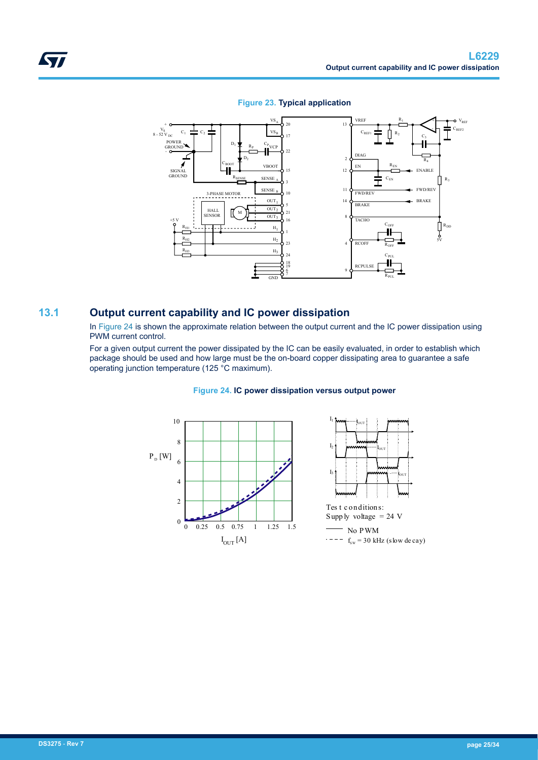<span id="page-24-0"></span>

#### **Figure 23. Typical application**

### **13.1 Output current capability and IC power dissipation**

In Figure 24 is shown the approximate relation between the output current and the IC power dissipation using PWM current control.

For a given output current the power dissipated by the IC can be easily evaluated, in order to establish which package should be used and how large must be the on-board copper dissipating area to guarantee a safe operating junction temperature (125 °C maximum).



#### **Figure 24. IC power dissipation versus output power**

 $I_{\rm OUT}$ 

IOUT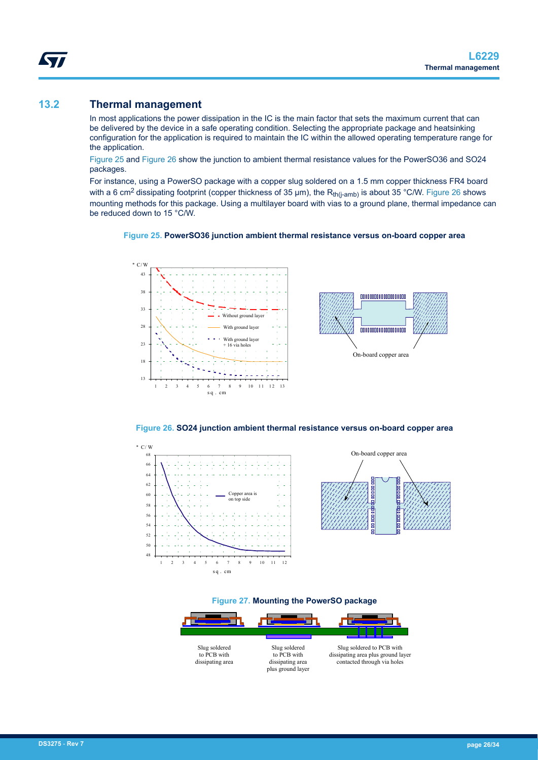### **13.2 Thermal management**

<span id="page-25-0"></span>W

In most applications the power dissipation in the IC is the main factor that sets the maximum current that can be delivered by the device in a safe operating condition. Selecting the appropriate package and heatsinking configuration for the application is required to maintain the IC within the allowed operating temperature range for the application.

Figure 25 and Figure 26 show the junction to ambient thermal resistance values for the PowerSO36 and SO24 packages.

For instance, using a PowerSO package with a copper slug soldered on a 1.5 mm copper thickness FR4 board with a 6 cm<sup>2</sup> dissipating footprint (copper thickness of 35  $\mu$ m), the R<sub>th(j-amb)</sub> is about 35 °C/W. Figure 26 shows mounting methods for this package. Using a multilayer board with vias to a ground plane, thermal impedance can be reduced down to 15 °C/W.







**Figure 26. SO24 junction ambient thermal resistance versus on-board copper area**







**DS3275** - **Rev 7 page 26/34**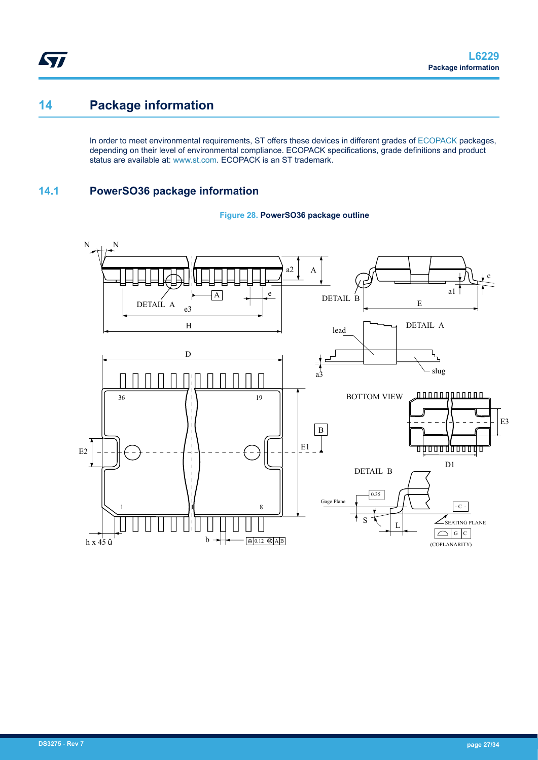## **14 Package information**

<span id="page-26-0"></span>ST

In order to meet environmental requirements, ST offers these devices in different grades of [ECOPACK](https://www.st.com/ecopack) packages, depending on their level of environmental compliance. ECOPACK specifications, grade definitions and product status are available at: [www.st.com.](http://www.st.com) ECOPACK is an ST trademark.

### **14.1 PowerSO36 package information**



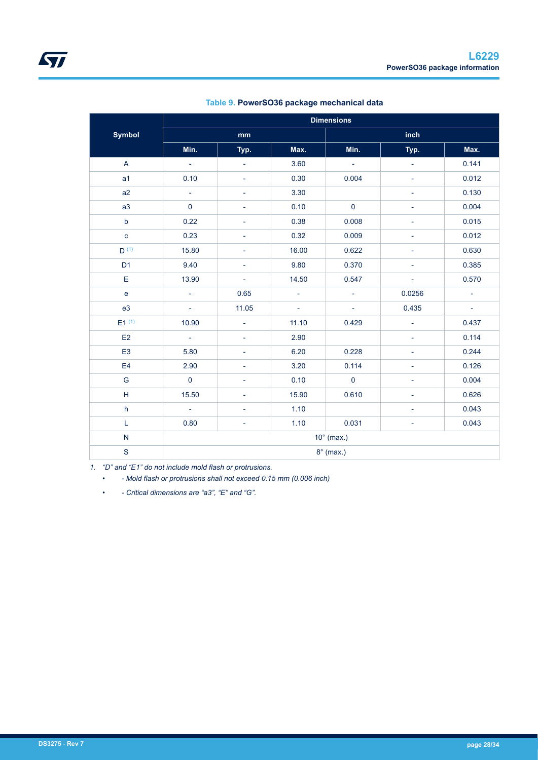<span id="page-27-0"></span>

|                                   | <b>Dimensions</b> |                          |                     |                             |                             |                  |
|-----------------------------------|-------------------|--------------------------|---------------------|-----------------------------|-----------------------------|------------------|
| <b>Symbol</b>                     | mm                |                          |                     | inch                        |                             |                  |
|                                   | Min.              | Typ.                     | Max.                | Min.                        | Typ.                        | Max.             |
| A                                 | $\sim$            | $\Box$                   | 3.60                | $\sim 10^7$                 | $\mathcal{L}^{\mathcal{A}}$ | 0.141            |
| a <sub>1</sub>                    | 0.10              | ÷,                       | 0.30                | 0.004                       | $\blacksquare$              | 0.012            |
| a2                                | $\mathbb{L}^2$    | ÷,                       | 3.30                |                             | $\overline{\phantom{0}}$    | 0.130            |
| a3                                | $\mathbf 0$       | $\overline{\phantom{0}}$ | 0.10                | $\mathbf 0$                 | ÷.                          | 0.004            |
| $\mathsf b$                       | 0.22              | -                        | 0.38                | 0.008                       |                             | 0.015            |
| $\mathbf c$                       | 0.23              | ÷,                       | 0.32                | 0.009                       | $\blacksquare$              | 0.012            |
| $D^{(1)}$                         | 15.80             | -                        | 16.00               | 0.622                       | -                           | 0.630            |
| D <sub>1</sub>                    | 9.40              | $\overline{\phantom{a}}$ | 9.80                | 0.370                       | $\overline{\phantom{a}}$    | 0.385            |
| Е                                 | 13.90             | $\pm$                    | 14.50               | 0.547                       | ÷.                          | 0.570            |
| $\mathsf{e}% _{t}\left( t\right)$ | $\omega$          | 0.65                     | $\mathcal{L}^{\pm}$ | $\mathcal{L}_{\mathcal{A}}$ | 0.0256                      | $\equiv$         |
| e3                                | $\omega_{\rm c}$  | 11.05                    | $\sim$              | $\omega_{\rm c}$            | 0.435                       | $\omega_{\rm c}$ |
| $E1^{(1)}$                        | 10.90             | $\overline{\phantom{a}}$ | 11.10               | 0.429                       | $\overline{\phantom{0}}$    | 0.437            |
| E2                                | $\Delta \sim 10$  | $\overline{\phantom{a}}$ | 2.90                |                             | $\overline{\phantom{0}}$    | 0.114            |
| E <sub>3</sub>                    | 5.80              | -                        | 6.20                | 0.228                       | -                           | 0.244            |
| E <sub>4</sub>                    | 2.90              | 4                        | 3.20                | 0.114                       | $\overline{\phantom{a}}$    | 0.126            |
| G                                 | $\mathbf 0$       | -                        | 0.10                | $\mathbf{0}$                | $\overline{\phantom{a}}$    | 0.004            |
| Н                                 | 15.50             | 4                        | 15.90               | 0.610                       | $\overline{\phantom{a}}$    | 0.626            |
| h                                 | $\sim$            | $\overline{\phantom{a}}$ | 1.10                |                             | ÷.                          | 0.043            |
| L                                 | 0.80              | ÷,                       | 1.10                | 0.031                       | $\overline{\phantom{0}}$    | 0.043            |
| ${\sf N}$                         | $10^\circ$ (max.) |                          |                     |                             |                             |                  |
| $\mathbf S$                       | $8^\circ$ (max.)  |                          |                     |                             |                             |                  |

**Table 9. PowerSO36 package mechanical data**

*1. "D" and "E1" do not include mold flash or protrusions.*

*• - Mold flash or protrusions shall not exceed 0.15 mm (0.006 inch)*

*• - Critical dimensions are "a3", "E" and "G".*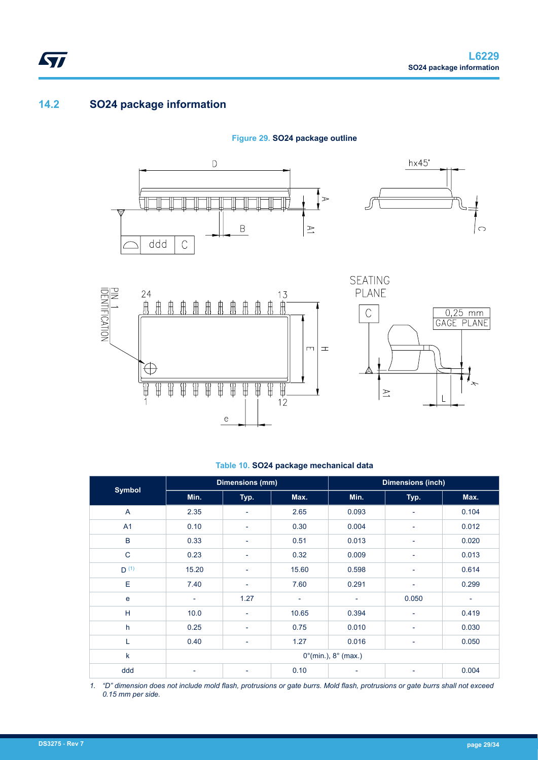### <span id="page-28-0"></span>**14.2 SO24 package information**









**SEATING** 

#### **Table 10. SO24 package mechanical data**

| <b>Symbol</b>  | <b>Dimensions (mm)</b>                 |                          |                          | <b>Dimensions (inch)</b> |                          |       |
|----------------|----------------------------------------|--------------------------|--------------------------|--------------------------|--------------------------|-------|
|                | Min.                                   | Typ.                     | Max.                     | Min.                     | Typ.                     | Max.  |
| $\overline{A}$ | 2.35                                   | $\overline{\phantom{a}}$ | 2.65                     | 0.093                    | -                        | 0.104 |
| A1             | 0.10                                   | $\overline{\phantom{a}}$ | 0.30                     | 0.004                    | $\overline{\phantom{a}}$ | 0.012 |
| $\sf B$        | 0.33                                   | $\blacksquare$           | 0.51                     | 0.013                    | -                        | 0.020 |
| $\mathsf{C}$   | 0.23                                   | $\overline{\phantom{a}}$ | 0.32                     | 0.009                    | $\overline{\phantom{a}}$ | 0.013 |
| $D^{(1)}$      | 15.20                                  | $\overline{\phantom{a}}$ | 15.60                    | 0.598                    | $\overline{a}$           | 0.614 |
| Ε              | 7.40                                   | $\overline{\phantom{a}}$ | 7.60                     | 0.291                    | $\overline{\phantom{a}}$ | 0.299 |
| e              | $\overline{\phantom{a}}$               | 1.27                     | $\overline{\phantom{a}}$ | $\overline{\phantom{a}}$ | 0.050                    | ۰     |
| H              | 10.0                                   | $\overline{\phantom{a}}$ | 10.65                    | 0.394                    | ٠                        | 0.419 |
| h              | 0.25                                   | $\overline{\phantom{a}}$ | 0.75                     | 0.010                    | -                        | 0.030 |
| L              | 0.40                                   | $\overline{\phantom{a}}$ | 1.27                     | 0.016                    | $\overline{\phantom{a}}$ | 0.050 |
| k              | $0^{\circ}$ (min.), $8^{\circ}$ (max.) |                          |                          |                          |                          |       |
| ddd            | $\overline{\phantom{a}}$               | $\overline{\phantom{a}}$ | 0.10                     | ٠                        | -                        | 0.004 |

*1. "D" dimension does not include mold flash, protrusions or gate burrs. Mold flash, protrusions or gate burrs shall not exceed 0.15 mm per side.*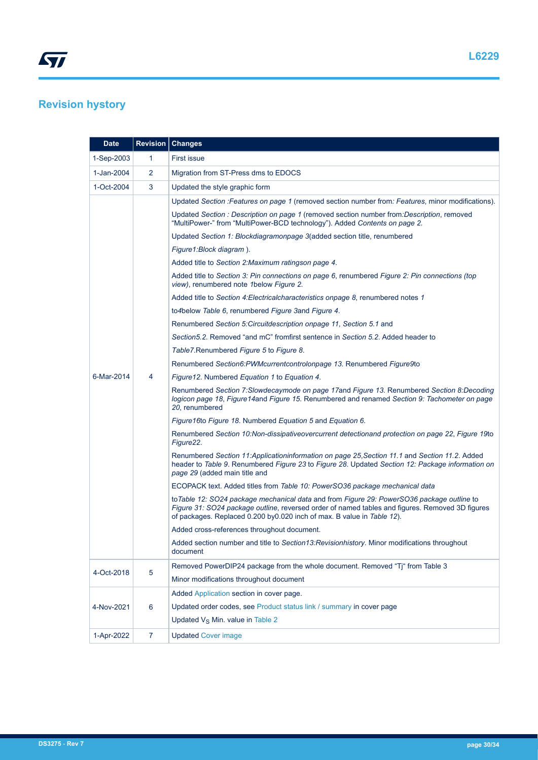## <span id="page-29-0"></span>**Revision hystory**

| <b>Date</b> |                 | <b>Revision Changes</b>                                                                                                                                                                                                                                                  |
|-------------|-----------------|--------------------------------------------------------------------------------------------------------------------------------------------------------------------------------------------------------------------------------------------------------------------------|
| 1-Sep-2003  | 1               | <b>First issue</b>                                                                                                                                                                                                                                                       |
| 1-Jan-2004  | 2               | Migration from ST-Press dms to EDOCS                                                                                                                                                                                                                                     |
| 1-Oct-2004  | 3               | Updated the style graphic form                                                                                                                                                                                                                                           |
|             |                 | Updated Section : Features on page 1 (removed section number from: Features, minor modifications).                                                                                                                                                                       |
|             |                 | Updated Section : Description on page 1 (removed section number from: Description, removed<br>"MultiPower-" from "MultiPower-BCD technology"). Added Contents on page 2.                                                                                                 |
|             |                 | Updated Section 1: Blockdiagramonpage 3(added section title, renumbered                                                                                                                                                                                                  |
|             |                 | Figure1:Block diagram).                                                                                                                                                                                                                                                  |
|             |                 | Added title to Section 2: Maximum ratingson page 4.                                                                                                                                                                                                                      |
|             |                 | Added title to Section 3: Pin connections on page 6, renumbered Figure 2: Pin connections (top<br>view), renumbered note 1 below Figure 2.                                                                                                                               |
|             |                 | Added title to Section 4: Electrical characteristics on page 8, renumbered notes 1                                                                                                                                                                                       |
|             |                 | to4below Table 6, renumbered Figure 3and Figure 4.                                                                                                                                                                                                                       |
|             |                 | Renumbered Section 5: Circuitdescription onpage 11, Section 5.1 and                                                                                                                                                                                                      |
|             |                 | Section 5.2. Removed "and mC" fromfirst sentence in Section 5.2. Added header to                                                                                                                                                                                         |
|             |                 | Table7. Renumbered Figure 5 to Figure 8.                                                                                                                                                                                                                                 |
|             | 4               | Renumbered Section6:PWMcurrentcontrolonpage 13. Renumbered Figure9to                                                                                                                                                                                                     |
| 6-Mar-2014  |                 | Figure 12. Numbered Equation 1 to Equation 4.                                                                                                                                                                                                                            |
|             |                 | Renumbered Section 7: Slowdecaymode on page 17 and Figure 13. Renumbered Section 8: Decoding<br>logicon page 18, Figure 14 and Figure 15. Renumbered and renamed Section 9: Tachometer on page<br>20, renumbered                                                         |
|             |                 | Figure 16to Figure 18. Numbered Equation 5 and Equation 6.                                                                                                                                                                                                               |
|             |                 | Renumbered Section 10:Non-dissipativeovercurrent detectionand protection on page 22, Figure 19to<br>Figure 22.                                                                                                                                                           |
|             |                 | Renumbered Section 11:Applicationinformation on page 25, Section 11.1 and Section 11.2. Added<br>header to Table 9. Renumbered Figure 23 to Figure 28. Updated Section 12: Package information on<br>page 29 (added main title and                                       |
|             |                 | ECOPACK text. Added titles from Table 10: PowerSO36 package mechanical data                                                                                                                                                                                              |
|             |                 | to Table 12: SO24 package mechanical data and from Figure 29: PowerSO36 package outline to<br>Figure 31: SO24 package outline, reversed order of named tables and figures. Removed 3D figures<br>of packages. Replaced 0.200 by 0.020 inch of max. B value in Table 12). |
|             |                 | Added cross-references throughout document.                                                                                                                                                                                                                              |
|             |                 | Added section number and title to Section13:Revisionhistory. Minor modifications throughout<br>document                                                                                                                                                                  |
|             |                 | Removed PowerDIP24 package from the whole document. Removed "Tj" from Table 3                                                                                                                                                                                            |
| 4-Oct-2018  | $\overline{5}$  | Minor modifications throughout document                                                                                                                                                                                                                                  |
|             |                 | Added Application section in cover page.                                                                                                                                                                                                                                 |
| 4-Nov-2021  | $6\phantom{1}6$ | Updated order codes, see Product status link / summary in cover page                                                                                                                                                                                                     |
|             |                 | Updated V <sub>S</sub> Min. value in Table 2                                                                                                                                                                                                                             |
| 1-Apr-2022  | $\overline{7}$  | <b>Updated Cover image</b>                                                                                                                                                                                                                                               |
|             |                 |                                                                                                                                                                                                                                                                          |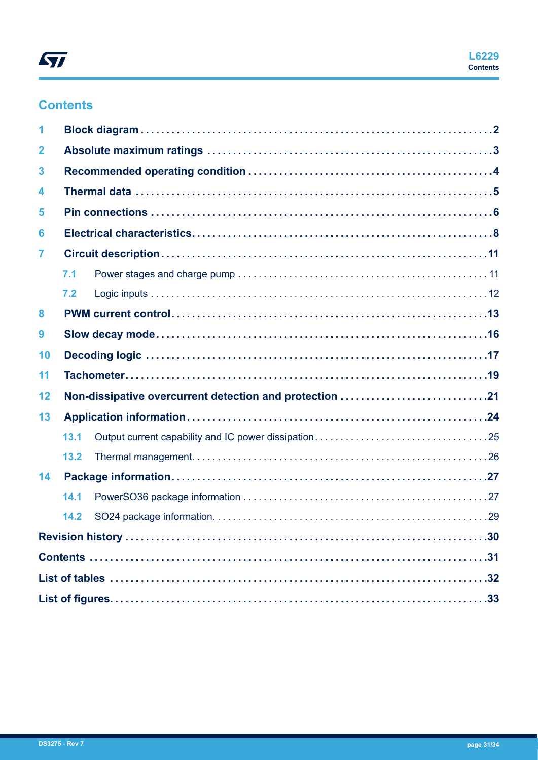## **Contents**

| 1            |      |                                                         |  |
|--------------|------|---------------------------------------------------------|--|
| $\mathbf{2}$ |      |                                                         |  |
| 3            |      |                                                         |  |
| 4            |      |                                                         |  |
| 5            |      |                                                         |  |
| 6            |      |                                                         |  |
| 7            |      |                                                         |  |
|              | 7.1  |                                                         |  |
|              | 7.2  |                                                         |  |
| 8            |      |                                                         |  |
| 9            |      |                                                         |  |
| 10           |      |                                                         |  |
| 11           |      |                                                         |  |
| 12           |      | Non-dissipative overcurrent detection and protection 21 |  |
| 13           |      |                                                         |  |
|              | 13.1 |                                                         |  |
|              | 13.2 |                                                         |  |
| 14           |      |                                                         |  |
|              | 14.1 |                                                         |  |
|              | 14.2 |                                                         |  |
|              |      |                                                         |  |
|              |      |                                                         |  |
|              |      |                                                         |  |
|              |      |                                                         |  |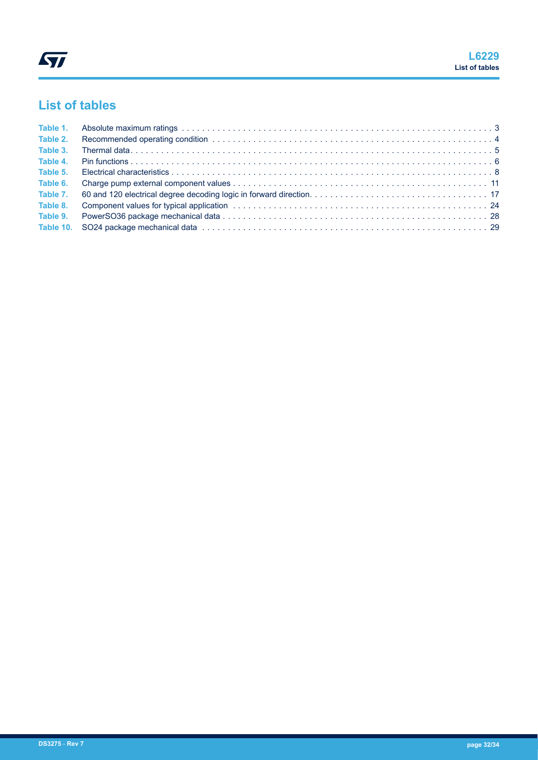## <span id="page-31-0"></span>**List of tables**

| Table 2. |  |
|----------|--|
| Table 3. |  |
| Table 4. |  |
| Table 5. |  |
| Table 6. |  |
|          |  |
|          |  |
|          |  |
|          |  |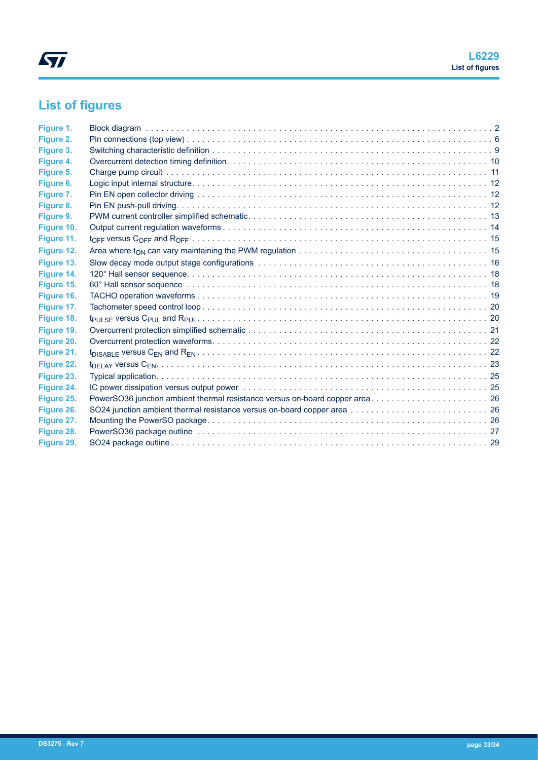# <span id="page-32-0"></span>**List of figures**

| Figure 1.  |                                                                              |  |
|------------|------------------------------------------------------------------------------|--|
| Figure 2.  |                                                                              |  |
| Figure 3.  |                                                                              |  |
| Figure 4.  |                                                                              |  |
| Figure 5.  |                                                                              |  |
| Figure 6.  |                                                                              |  |
| Figure 7.  |                                                                              |  |
| Figure 8.  |                                                                              |  |
| Figure 9.  |                                                                              |  |
| Figure 10. |                                                                              |  |
| Figure 11. |                                                                              |  |
| Figure 12. |                                                                              |  |
| Figure 13. |                                                                              |  |
| Figure 14. |                                                                              |  |
| Figure 15. |                                                                              |  |
| Figure 16. |                                                                              |  |
| Figure 17. |                                                                              |  |
| Figure 18. |                                                                              |  |
| Figure 19. |                                                                              |  |
| Figure 20. |                                                                              |  |
| Figure 21. |                                                                              |  |
| Figure 22. |                                                                              |  |
| Figure 23. |                                                                              |  |
| Figure 24. |                                                                              |  |
| Figure 25. | PowerSO36 junction ambient thermal resistance versus on-board copper area 26 |  |
| Figure 26. |                                                                              |  |
| Figure 27. |                                                                              |  |
| Figure 28. |                                                                              |  |
| Figure 29. |                                                                              |  |